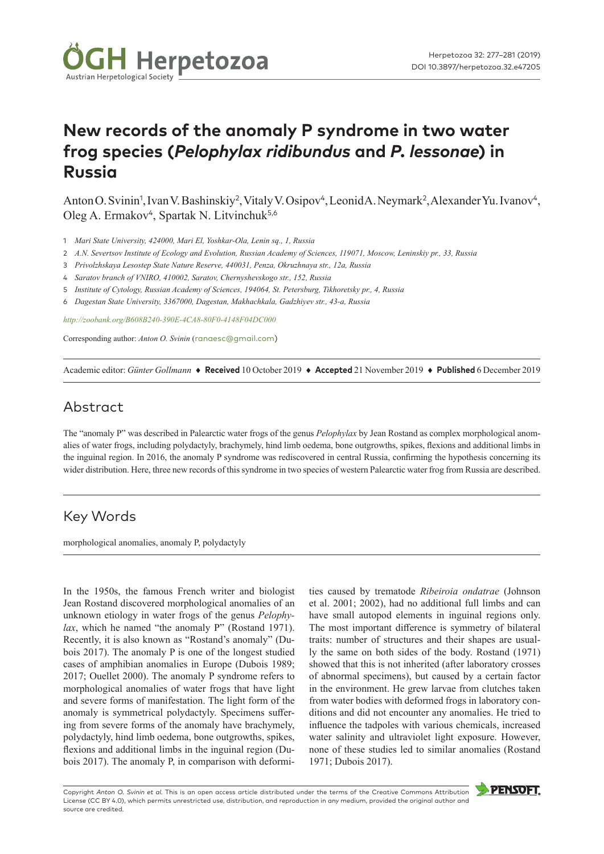

# **New records of the anomaly P syndrome in two water frog species (***Pelophylax ridibundus* **and** *P. lessonae***) in Russia**

Anton O. Svinin<sup>1</sup>, Ivan V. Bashinskiy<sup>2</sup>, Vitaly V. Osipov<sup>4</sup>, Leonid A. Neymark<sup>2</sup>, Alexander Yu. Ivanov<sup>4</sup>, Oleg A. Ermakov<sup>4</sup>, Spartak N. Litvinchuk<sup>5,6</sup>

- 1 *Mari State University, 424000, Mari El, Yoshkar-Ola, Lenin sq., 1, Russia*
- 2 *A.N. Severtsov Institute of Ecology and Evolution, Russian Academy of Sciences, 119071, Moscow, Leninskiy pr., 33, Russia*
- 3 *Privolzhskaya Lesostep State Nature Reserve, 440031, Penza, Okruzhnaya str., 12a, Russia*
- 4 *Saratov branch of VNIRO, 410002, Saratov, Chernyshevskogo str., 152, Russia*
- 5 *Institute of Cytology, Russian Academy of Sciences, 194064, St. Petersburg, Tikhoretsky pr., 4, Russia*
- 6 *Dagestan State University, 3367000, Dagestan, Makhachkala, Gadzhiyev str., 43-a, Russia*

*<http://zoobank.org/B608B240-390E-4CA8-80F0-4148F04DC000>*

Corresponding author: *Anton O. Svinin* ([ranaesc@gmail.com](mailto:ranaesc@gmail.com))

Academic editor: *Günter Gollmann* ♦ **Received** 10 October 2019 ♦ **Accepted** 21 November 2019 ♦ **Published** 6 December 2019

## Abstract

The "anomaly P" was described in Palearctic water frogs of the genus *Pelophylax* by Jean Rostand as complex morphological anomalies of water frogs, including polydactyly, brachymely, hind limb oedema, bone outgrowths, spikes, flexions and additional limbs in the inguinal region. In 2016, the anomaly P syndrome was rediscovered in central Russia, confirming the hypothesis concerning its wider distribution. Here, three new records of this syndrome in two species of western Palearctic water frog from Russia are described.

#### Key Words

morphological anomalies, anomaly P, polydactyly

In the 1950s, the famous French writer and biologist Jean Rostand discovered morphological anomalies of an unknown etiology in water frogs of the genus *Pelophylax*, which he named "the anomaly P" (Rostand 1971). Recently, it is also known as "Rostand's anomaly" (Dubois 2017). The anomaly P is one of the longest studied cases of amphibian anomalies in Europe (Dubois 1989; 2017; Ouellet 2000). The anomaly P syndrome refers to morphological anomalies of water frogs that have light and severe forms of manifestation. The light form of the anomaly is symmetrical polydactyly. Specimens suffering from severe forms of the anomaly have brachymely, polydactyly, hind limb oedema, bone outgrowths, spikes, flexions and additional limbs in the inguinal region (Dubois 2017). The anomaly P, in comparison with deformi-

ties caused by trematode *Ribeiroia ondatrae* (Johnson et al. 2001; 2002), had no additional full limbs and can have small autopod elements in inguinal regions only. The most important difference is symmetry of bilateral traits: number of structures and their shapes are usually the same on both sides of the body. Rostand (1971) showed that this is not inherited (after laboratory crosses of abnormal specimens), but caused by a certain factor in the environment. He grew larvae from clutches taken from water bodies with deformed frogs in laboratory conditions and did not encounter any anomalies. He tried to influence the tadpoles with various chemicals, increased water salinity and ultraviolet light exposure. However, none of these studies led to similar anomalies (Rostand 1971; Dubois 2017).

Copyright *Anton O. Svinin et al.* This is an open access article distributed under the terms of the [Creative Commons Attribution](http://creativecommons.org/licenses/by/4.0/)  [License \(CC BY 4.0\),](http://creativecommons.org/licenses/by/4.0/) which permits unrestricted use, distribution, and reproduction in any medium, provided the original author and source are credited.

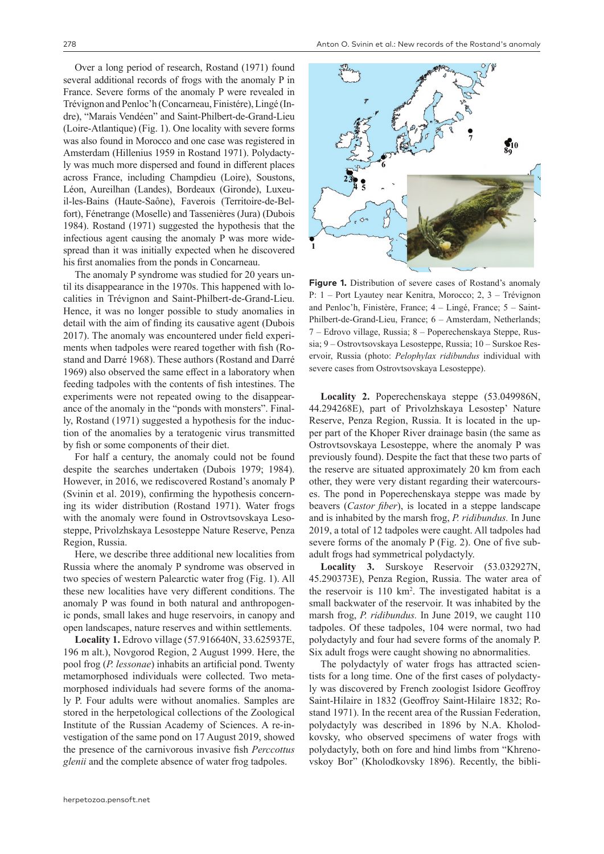Over a long period of research, Rostand (1971) found several additional records of frogs with the anomaly P in France. Severe forms of the anomaly P were revealed in Trévignon and Penloc'h (Concarneau, Finistére), Lingé (Indre), "Marais Vendéen" and Saint-Philbert-de-Grand-Lieu (Loire-Atlantique) (Fig. 1). One locality with severe forms was also found in Morocco and one case was registered in Amsterdam (Hillenius 1959 in Rostand 1971). Polydactyly was much more dispersed and found in different places across France, including Champdieu (Loire), Soustons, Léon, Aureilhan (Landes), Bordeaux (Gironde), Luxeuil-les-Bains (Haute-Saône), Faverois (Territoire-de-Belfort), Fénetrange (Moselle) and Tassenières (Jura) (Dubois 1984). Rostand (1971) suggested the hypothesis that the infectious agent causing the anomaly P was more widespread than it was initially expected when he discovered his first anomalies from the ponds in Concarneau.

The anomaly P syndrome was studied for 20 years until its disappearance in the 1970s. This happened with localities in Trévignon and Saint-Philbert-de-Grand-Lieu. Hence, it was no longer possible to study anomalies in detail with the aim of finding its causative agent (Dubois 2017). The anomaly was encountered under field experiments when tadpoles were reared together with fish (Rostand and Darré 1968). These authors (Rostand and Darré 1969) also observed the same effect in a laboratory when feeding tadpoles with the contents of fish intestines. The experiments were not repeated owing to the disappearance of the anomaly in the "ponds with monsters". Finally, Rostand (1971) suggested a hypothesis for the induction of the anomalies by a teratogenic virus transmitted by fish or some components of their diet.

For half a century, the anomaly could not be found despite the searches undertaken (Dubois 1979; 1984). However, in 2016, we rediscovered Rostand's anomaly P (Svinin et al. 2019), confirming the hypothesis concerning its wider distribution (Rostand 1971). Water frogs with the anomaly were found in Ostrovtsovskaya Lesosteppe, Privolzhskaya Lesosteppe Nature Reserve, Penza Region, Russia.

Here, we describe three additional new localities from Russia where the anomaly P syndrome was observed in two species of western Palearctic water frog (Fig. 1). All these new localities have very different conditions. The anomaly P was found in both natural and anthropogenic ponds, small lakes and huge reservoirs, in canopy and open landscapes, nature reserves and within settlements.

**Locality 1.** Edrovo village (57.916640N, 33.625937E, 196 m alt.), Novgorod Region, 2 August 1999. Here, the pool frog (*P. lessonae*) inhabits an artificial pond. Twenty metamorphosed individuals were collected. Two metamorphosed individuals had severe forms of the anomaly P. Four adults were without anomalies. Samples are stored in the herpetological collections of the Zoological Institute of the Russian Academy of Sciences. A re-investigation of the same pond on 17 August 2019, showed the presence of the carnivorous invasive fish *Perccottus glenii* and the complete absence of water frog tadpoles.



**Figure 1.** Distribution of severe cases of Rostand's anomaly P: 1 – Port Lyautey near Kenitra, Morocco; 2, 3 – Trévignon and Penloc'h, Finistère, France; 4 – Lingé, France; 5 – Saint-Philbert-de-Grand-Lieu, France; 6 – Amsterdam, Netherlands; 7 – Edrovo village, Russia; 8 – Poperechenskaya Steppe, Russia; 9 – Ostrovtsovskaya Lesosteppe, Russia; 10 – Surskoe Reservoir, Russia (photo: *Pelophylax ridibundus* individual with severe cases from Ostrovtsovskaya Lesosteppe).

**Locality 2.** Poperechenskaya steppe (53.049986N, 44.294268E), part of Privolzhskaya Lesostep' Nature Reserve, Penza Region, Russia. It is located in the upper part of the Khoper River drainage basin (the same as Ostrovtsovskaya Lesosteppe, where the anomaly P was previously found). Despite the fact that these two parts of the reserve are situated approximately 20 km from each other, they were very distant regarding their watercourses. The pond in Poperechenskaya steppe was made by beavers (*Castor fiber*), is located in a steppe landscape and is inhabited by the marsh frog, *P. ridibundus.* In June 2019, a total of 12 tadpoles were caught. All tadpoles had severe forms of the anomaly P (Fig. 2). One of five subadult frogs had symmetrical polydactyly.

**Locality 3.** Surskoye Reservoir (53.032927N, 45.290373E), Penza Region, Russia. The water area of the reservoir is 110 km2 . The investigated habitat is a small backwater of the reservoir. It was inhabited by the marsh frog, *P. ridibundus.* In June 2019, we caught 110 tadpoles. Of these tadpoles, 104 were normal, two had polydactyly and four had severe forms of the anomaly P. Six adult frogs were caught showing no abnormalities.

The polydactyly of water frogs has attracted scientists for a long time. One of the first cases of polydactyly was discovered by French zoologist Isidore Geoffroy Saint-Hilaire in 1832 (Geoffroy Saint-Hilaire 1832; Rostand 1971). In the recent area of the Russian Federation, polydactyly was described in 1896 by N.A. Kholodkovsky, who observed specimens of water frogs with polydactyly, both on fore and hind limbs from "Khrenovskoy Bor" (Kholodkovsky 1896). Recently, the bibli-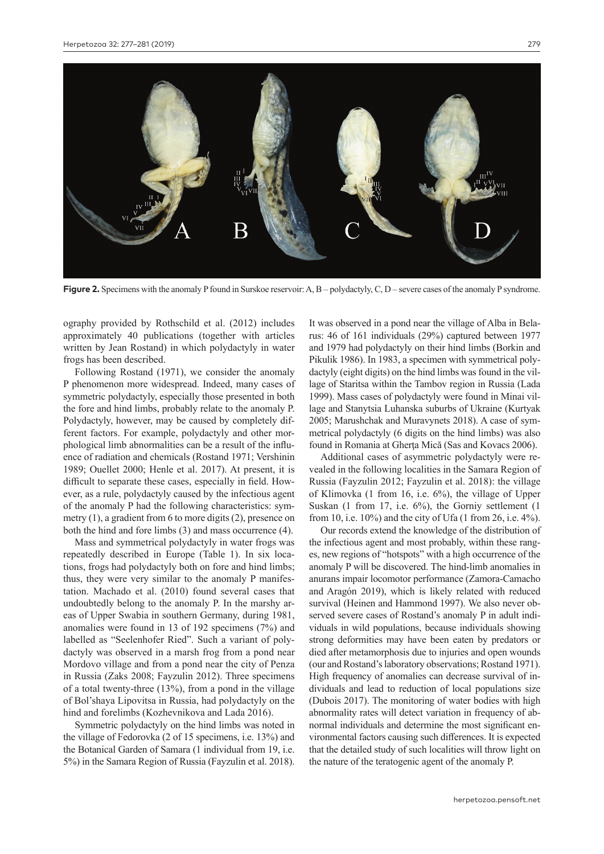

**Figure 2.** Specimens with the anomaly P found in Surskoe reservoir: A, B – polydactyly, C, D – severe cases of the anomaly P syndrome.

ography provided by Rothschild et al. (2012) includes approximately 40 publications (together with articles written by Jean Rostand) in which polydactyly in water frogs has been described.

Following Rostand (1971), we consider the anomaly P phenomenon more widespread. Indeed, many cases of symmetric polydactyly, especially those presented in both the fore and hind limbs, probably relate to the anomaly P. Polydactyly, however, may be caused by completely different factors. For example, polydactyly and other morphological limb abnormalities can be a result of the influence of radiation and chemicals (Rostand 1971; Vershinin 1989; Ouellet 2000; Henle et al. 2017). At present, it is difficult to separate these cases, especially in field. However, as a rule, polydactyly caused by the infectious agent of the anomaly P had the following characteristics: symmetry (1), a gradient from 6 to more digits (2), presence on both the hind and fore limbs (3) and mass occurrence (4).

Mass and symmetrical polydactyly in water frogs was repeatedly described in Europe (Table 1). In six locations, frogs had polydactyly both on fore and hind limbs; thus, they were very similar to the anomaly P manifestation. Machado et al. (2010) found several cases that undoubtedly belong to the anomaly P. In the marshy areas of Upper Swabia in southern Germany, during 1981, anomalies were found in 13 of 192 specimens (7%) and labelled as "Seelenhofer Ried". Such a variant of polydactyly was observed in a marsh frog from a pond near Mordovo village and from a pond near the city of Penza in Russia (Zaks 2008; Fayzulin 2012). Three specimens of a total twenty-three (13%), from a pond in the village of Bol'shaya Lipovitsa in Russia, had polydactyly on the hind and forelimbs (Kozhevnikova and Lada 2016).

Symmetric polydactyly on the hind limbs was noted in the village of Fedorovka (2 of 15 specimens, i.e. 13%) and the Botanical Garden of Samara (1 individual from 19, i.e. 5%) in the Samara Region of Russia (Fayzulin et al. 2018).

It was observed in a pond near the village of Alba in Belarus: 46 of 161 individuals (29%) captured between 1977 and 1979 had polydactyly on their hind limbs (Borkin and Pikulik 1986). In 1983, a specimen with symmetrical polydactyly (eight digits) on the hind limbs was found in the village of Staritsa within the Tambov region in Russia (Lada 1999). Mass cases of polydactyly were found in Minai village and Stanytsia Luhanska suburbs of Ukraine (Kurtyak 2005; Marushchak and Muravynets 2018). A case of symmetrical polydactyly (6 digits on the hind limbs) was also found in Romania at Gherţa Mică (Sas and Kovacs 2006).

Additional cases of asymmetric polydactyly were revealed in the following localities in the Samara Region of Russia (Fayzulin 2012; Fayzulin et al. 2018): the village of Klimovka (1 from 16, i.e. 6%), the village of Upper Suskan (1 from 17, i.e. 6%), the Gorniy settlement (1 from 10, i.e. 10%) and the city of Ufa (1 from 26, i.e. 4%).

Our records extend the knowledge of the distribution of the infectious agent and most probably, within these ranges, new regions of "hotspots" with a high occurrence of the anomaly P will be discovered. The hind-limb anomalies in anurans impair locomotor performance (Zamora-Camacho and Aragón 2019), which is likely related with reduced survival (Heinen and Hammond 1997). We also never observed severe cases of Rostand's anomaly P in adult individuals in wild populations, because individuals showing strong deformities may have been eaten by predators or died after metamorphosis due to injuries and open wounds (our and Rostand's laboratory observations; Rostand 1971). High frequency of anomalies can decrease survival of individuals and lead to reduction of local populations size (Dubois 2017). The monitoring of water bodies with high abnormality rates will detect variation in frequency of abnormal individuals and determine the most significant environmental factors causing such differences. It is expected that the detailed study of such localities will throw light on the nature of the teratogenic agent of the anomaly P.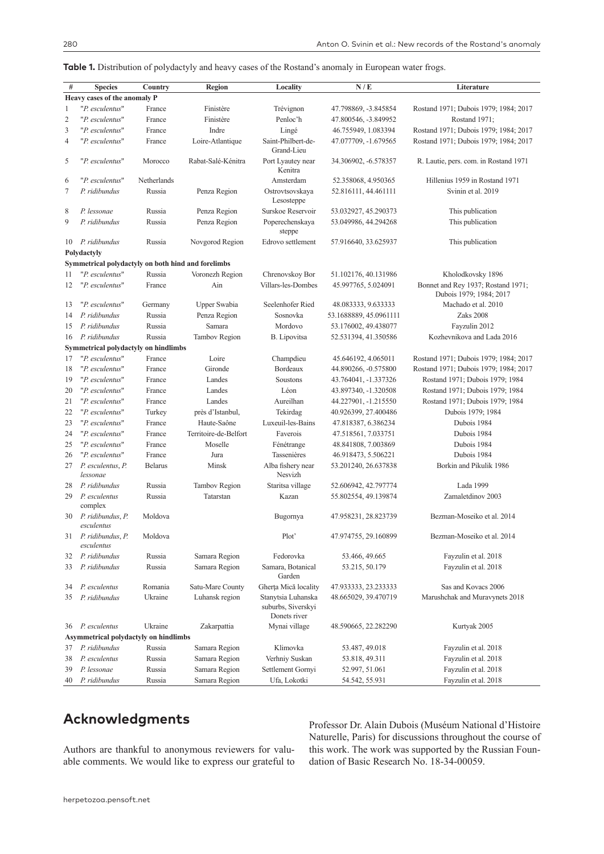**Table 1.** Distribution of polydactyly and heavy cases of the Rostand's anomaly in European water frogs.

| $\#$                                  | <b>Species</b>                                     | Country        | Region                | Locality                                                 | N/E                    | Literature                                                    |
|---------------------------------------|----------------------------------------------------|----------------|-----------------------|----------------------------------------------------------|------------------------|---------------------------------------------------------------|
| Heavy cases of the anomaly P          |                                                    |                |                       |                                                          |                        |                                                               |
| 1                                     | "P. esculentus"                                    | France         | Finistère             | Trévignon                                                | 47.798869, -3.845854   | Rostand 1971; Dubois 1979; 1984; 2017                         |
| $\overline{2}$                        | "P. esculentus"                                    | France         | Finistère             | Penloc'h                                                 | 47.800546, -3.849952   | Rostand 1971;                                                 |
| 3                                     | "P. esculentus"                                    | France         | Indre                 | Lingé                                                    | 46.755949, 1.083394    | Rostand 1971; Dubois 1979; 1984; 2017                         |
| $\overline{4}$                        | "P. esculentus"                                    | France         | Loire-Atlantique      | Saint-Philbert-de-<br>Grand-Lieu                         | 47.077709, -1.679565   | Rostand 1971; Dubois 1979; 1984; 2017                         |
| 5                                     | "P. esculentus"                                    | Morocco        | Rabat-Salé-Kénitra    | Port Lyautey near<br>Kenitra                             | 34.306902, -6.578357   | R. Lautie, pers. com. in Rostand 1971                         |
| 6                                     | "P. esculentus"                                    | Netherlands    |                       | Amsterdam                                                | 52.358068, 4.950365    | Hillenius 1959 in Rostand 1971                                |
| 7                                     | P. ridibundus                                      | Russia         | Penza Region          | Ostrovtsovskaya<br>Lesosteppe                            | 52.816111, 44.461111   | Svinin et al. 2019                                            |
| 8                                     | P. lessonae                                        | Russia         | Penza Region          | Surskoe Reservoir                                        | 53.032927, 45.290373   | This publication                                              |
| 9                                     | P. ridibundus                                      | Russia         | Penza Region          | Poperechenskaya<br>steppe                                | 53.049986, 44.294268   | This publication                                              |
| 10                                    | P. ridibundus                                      | Russia         | Novgorod Region       | Edrovo settlement                                        | 57.916640, 33.625937   | This publication                                              |
| Polydactyly                           |                                                    |                |                       |                                                          |                        |                                                               |
|                                       | Symmetrical polydactyly on both hind and forelimbs |                |                       |                                                          |                        |                                                               |
| 11                                    | "P. esculentus"                                    | Russia         | Voronezh Region       | Chrenovskoy Bor                                          | 51.102176, 40.131986   | Kholodkovsky 1896                                             |
| 12                                    | "P. esculentus"                                    | France         | Ain                   | Villars-les-Dombes                                       | 45.997765, 5.024091    | Bonnet and Rey 1937; Rostand 1971;<br>Dubois 1979; 1984; 2017 |
| 13                                    | "P. esculentus"                                    | Germany        | Upper Swabia          | Seelenhofer Ried                                         | 48.083333, 9.633333    | Machado et al. 2010                                           |
| 14                                    | P. ridibundus                                      | Russia         | Penza Region          | Sosnovka                                                 | 53.1688889, 45.0961111 | Zaks 2008                                                     |
| 15                                    | P. ridibundus                                      | Russia         | Samara                | Mordovo                                                  | 53.176002, 49.438077   | Fayzulin 2012                                                 |
| 16                                    | P. ridibundus                                      | Russia         | Tambov Region         | <b>B.</b> Lipovitsa                                      | 52.531394, 41.350586   | Kozhevnikova and Lada 2016                                    |
| Symmetrical polydactyly on hindlimbs  |                                                    |                |                       |                                                          |                        |                                                               |
| 17                                    | "P. esculentus"                                    | France         | Loire                 | Champdieu                                                | 45.646192, 4.065011    | Rostand 1971; Dubois 1979; 1984; 2017                         |
| 18                                    | "P. esculentus"                                    | France         | Gironde               | Bordeaux                                                 | 44.890266, -0.575800   | Rostand 1971; Dubois 1979; 1984; 2017                         |
| 19                                    | "P. esculentus"                                    | France         | Landes                | Soustons                                                 | 43.764041, -1.337326   | Rostand 1971; Dubois 1979; 1984                               |
| 20                                    | "P. esculentus"                                    | France         | Landes                | Léon                                                     | 43.897340, -1.320508   | Rostand 1971; Dubois 1979; 1984                               |
| 21                                    | "P. esculentus"                                    | France         | Landes                | Aureilhan                                                | 44.227901, -1.215550   | Rostand 1971; Dubois 1979; 1984                               |
| 22                                    | "P. esculentus"                                    | Turkey         | près d'Istanbul,      | Tekirdag                                                 | 40.926399, 27.400486   | Dubois 1979; 1984                                             |
| 23                                    | "P. esculentus"                                    | France         | Haute-Saône           | Luxeuil-les-Bains                                        | 47.818387, 6.386234    | Dubois 1984                                                   |
| 24                                    | "P. esculentus"                                    | France         | Territoire-de-Belfort | Faverois                                                 | 47.518561, 7.033751    | Dubois 1984                                                   |
| 25                                    | "P. esculentus"                                    | France         | Moselle               | Fénétrange                                               | 48.841808, 7.003869    | Dubois 1984                                                   |
| 26                                    | "P. esculentus"                                    | France         | Jura                  | Tassenières                                              | 46.918473, 5.506221    | Dubois 1984                                                   |
| 27                                    | P. esculentus, P.<br>lessonae                      | <b>Belarus</b> | Minsk                 | Alba fishery near<br>Nesvizh                             | 53.201240, 26.637838   | Borkin and Pikulik 1986                                       |
| 28                                    | P. ridibundus                                      | Russia         | Tambov Region         | Staritsa village                                         | 52.606942, 42.797774   | Lada 1999                                                     |
| 29                                    | P. esculentus<br>complex                           | Russia         | Tatarstan             | Kazan                                                    | 55.802554, 49.139874   | Zamaletdinov 2003                                             |
| 30                                    | P. ridibundus, P.<br>esculentus                    | Moldova        |                       | Bugornya                                                 | 47.958231, 28.823739   | Bezman-Moseiko et al. 2014                                    |
| 31                                    | P. ridibundus, P.<br>esculentus                    | Moldova        |                       | Plot'                                                    | 47.974755, 29.160899   | Bezman-Moseiko et al. 2014                                    |
| 32                                    | P. ridibundus                                      | Russia         | Samara Region         | Fedorovka                                                | 53.466, 49.665         | Fayzulin et al. 2018                                          |
| 33                                    | P. ridibundus                                      | Russia         | Samara Region         | Samara, Botanical<br>Garden                              | 53.215, 50.179         | Fayzulin et al. 2018                                          |
| 34                                    | P. esculentus                                      | Romania        | Satu-Mare County      | Gherța Mică locality                                     | 47.933333, 23.233333   | Sas and Kovacs 2006                                           |
| 35                                    | P. ridibundus                                      | Ukraine        | Luhansk region        | Stanytsia Luhanska<br>suburbs, Siverskyi<br>Donets river | 48.665029, 39.470719   | Marushchak and Muravynets 2018                                |
| 36                                    | P. esculentus                                      | Ukraine        | Zakarpattia           | Mynai village                                            | 48.590665, 22.282290   | Kurtyak 2005                                                  |
| Asymmetrical polydactyly on hindlimbs |                                                    |                |                       |                                                          |                        |                                                               |
| 37                                    | P. ridibundus                                      | Russia         | Samara Region         | Klimovka                                                 | 53.487, 49.018         | Fayzulin et al. 2018                                          |
| 38                                    | P. esculentus                                      | Russia         | Samara Region         | Verhniy Suskan                                           | 53.818, 49.311         | Fayzulin et al. 2018                                          |
| 39                                    | P. lessonae                                        | Russia         | Samara Region         | Settlement Gornyi                                        | 52.997, 51.061         | Fayzulin et al. 2018                                          |
| 40                                    | P. ridibundus                                      | Russia         | Samara Region         | Ufa, Lokotki                                             | 54.542, 55.931         | Fayzulin et al. 2018                                          |

# **Acknowledgments**

Authors are thankful to anonymous reviewers for valuable comments. We would like to express our grateful to

Professor Dr. Alain Dubois (Muséum National d'Histoire Naturelle, Paris) for discussions throughout the course of this work. The work was supported by the Russian Foundation of Basic Research No. 18-34-00059.